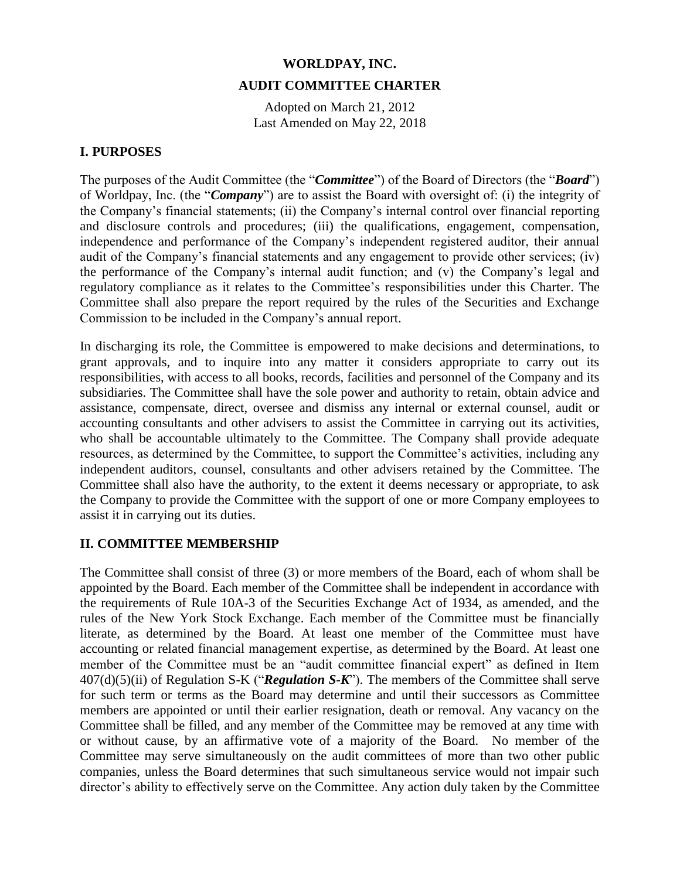# **WORLDPAY, INC. AUDIT COMMITTEE CHARTER**

Adopted on March 21, 2012 Last Amended on May 22, 2018

# **I. PURPOSES**

The purposes of the Audit Committee (the "*Committee*") of the Board of Directors (the "*Board*") of Worldpay, Inc. (the "*Company*") are to assist the Board with oversight of: (i) the integrity of the Company's financial statements; (ii) the Company's internal control over financial reporting and disclosure controls and procedures; (iii) the qualifications, engagement, compensation, independence and performance of the Company's independent registered auditor, their annual audit of the Company's financial statements and any engagement to provide other services; (iv) the performance of the Company's internal audit function; and (v) the Company's legal and regulatory compliance as it relates to the Committee's responsibilities under this Charter. The Committee shall also prepare the report required by the rules of the Securities and Exchange Commission to be included in the Company's annual report.

In discharging its role, the Committee is empowered to make decisions and determinations, to grant approvals, and to inquire into any matter it considers appropriate to carry out its responsibilities, with access to all books, records, facilities and personnel of the Company and its subsidiaries. The Committee shall have the sole power and authority to retain, obtain advice and assistance, compensate, direct, oversee and dismiss any internal or external counsel, audit or accounting consultants and other advisers to assist the Committee in carrying out its activities, who shall be accountable ultimately to the Committee. The Company shall provide adequate resources, as determined by the Committee, to support the Committee's activities, including any independent auditors, counsel, consultants and other advisers retained by the Committee. The Committee shall also have the authority, to the extent it deems necessary or appropriate, to ask the Company to provide the Committee with the support of one or more Company employees to assist it in carrying out its duties.

# **II. COMMITTEE MEMBERSHIP**

The Committee shall consist of three (3) or more members of the Board, each of whom shall be appointed by the Board. Each member of the Committee shall be independent in accordance with the requirements of Rule 10A-3 of the Securities Exchange Act of 1934, as amended, and the rules of the New York Stock Exchange. Each member of the Committee must be financially literate, as determined by the Board. At least one member of the Committee must have accounting or related financial management expertise, as determined by the Board. At least one member of the Committee must be an "audit committee financial expert" as defined in Item 407(d)(5)(ii) of Regulation S-K ("*Regulation S-K*"). The members of the Committee shall serve for such term or terms as the Board may determine and until their successors as Committee members are appointed or until their earlier resignation, death or removal. Any vacancy on the Committee shall be filled, and any member of the Committee may be removed at any time with or without cause, by an affirmative vote of a majority of the Board. No member of the Committee may serve simultaneously on the audit committees of more than two other public companies, unless the Board determines that such simultaneous service would not impair such director's ability to effectively serve on the Committee. Any action duly taken by the Committee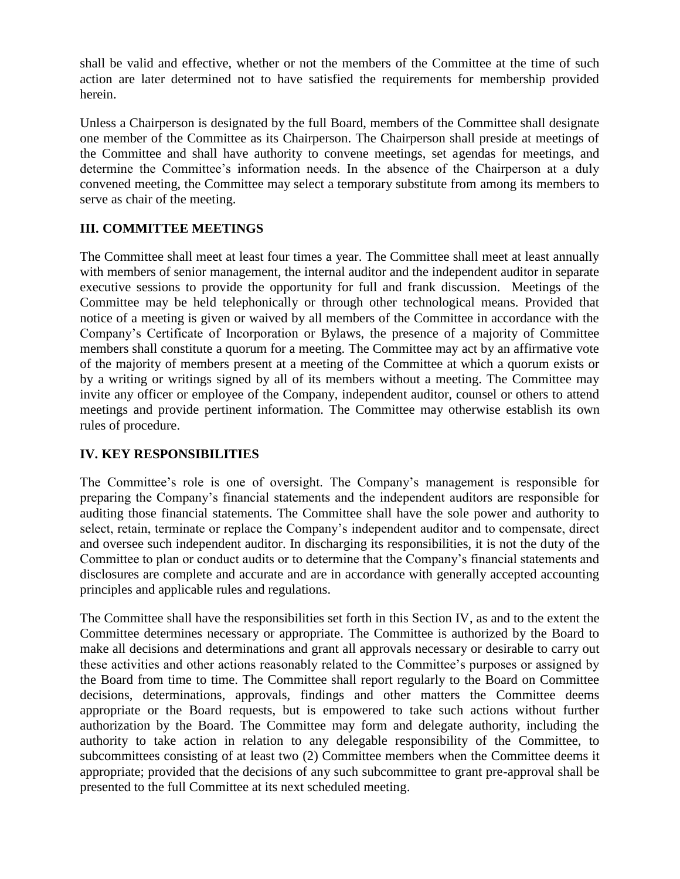shall be valid and effective, whether or not the members of the Committee at the time of such action are later determined not to have satisfied the requirements for membership provided herein.

Unless a Chairperson is designated by the full Board, members of the Committee shall designate one member of the Committee as its Chairperson. The Chairperson shall preside at meetings of the Committee and shall have authority to convene meetings, set agendas for meetings, and determine the Committee's information needs. In the absence of the Chairperson at a duly convened meeting, the Committee may select a temporary substitute from among its members to serve as chair of the meeting.

# **III. COMMITTEE MEETINGS**

The Committee shall meet at least four times a year. The Committee shall meet at least annually with members of senior management, the internal auditor and the independent auditor in separate executive sessions to provide the opportunity for full and frank discussion. Meetings of the Committee may be held telephonically or through other technological means. Provided that notice of a meeting is given or waived by all members of the Committee in accordance with the Company's Certificate of Incorporation or Bylaws, the presence of a majority of Committee members shall constitute a quorum for a meeting. The Committee may act by an affirmative vote of the majority of members present at a meeting of the Committee at which a quorum exists or by a writing or writings signed by all of its members without a meeting. The Committee may invite any officer or employee of the Company, independent auditor, counsel or others to attend meetings and provide pertinent information. The Committee may otherwise establish its own rules of procedure.

## **IV. KEY RESPONSIBILITIES**

The Committee's role is one of oversight. The Company's management is responsible for preparing the Company's financial statements and the independent auditors are responsible for auditing those financial statements. The Committee shall have the sole power and authority to select, retain, terminate or replace the Company's independent auditor and to compensate, direct and oversee such independent auditor. In discharging its responsibilities, it is not the duty of the Committee to plan or conduct audits or to determine that the Company's financial statements and disclosures are complete and accurate and are in accordance with generally accepted accounting principles and applicable rules and regulations.

The Committee shall have the responsibilities set forth in this Section IV, as and to the extent the Committee determines necessary or appropriate. The Committee is authorized by the Board to make all decisions and determinations and grant all approvals necessary or desirable to carry out these activities and other actions reasonably related to the Committee's purposes or assigned by the Board from time to time. The Committee shall report regularly to the Board on Committee decisions, determinations, approvals, findings and other matters the Committee deems appropriate or the Board requests, but is empowered to take such actions without further authorization by the Board. The Committee may form and delegate authority, including the authority to take action in relation to any delegable responsibility of the Committee, to subcommittees consisting of at least two (2) Committee members when the Committee deems it appropriate; provided that the decisions of any such subcommittee to grant pre-approval shall be presented to the full Committee at its next scheduled meeting.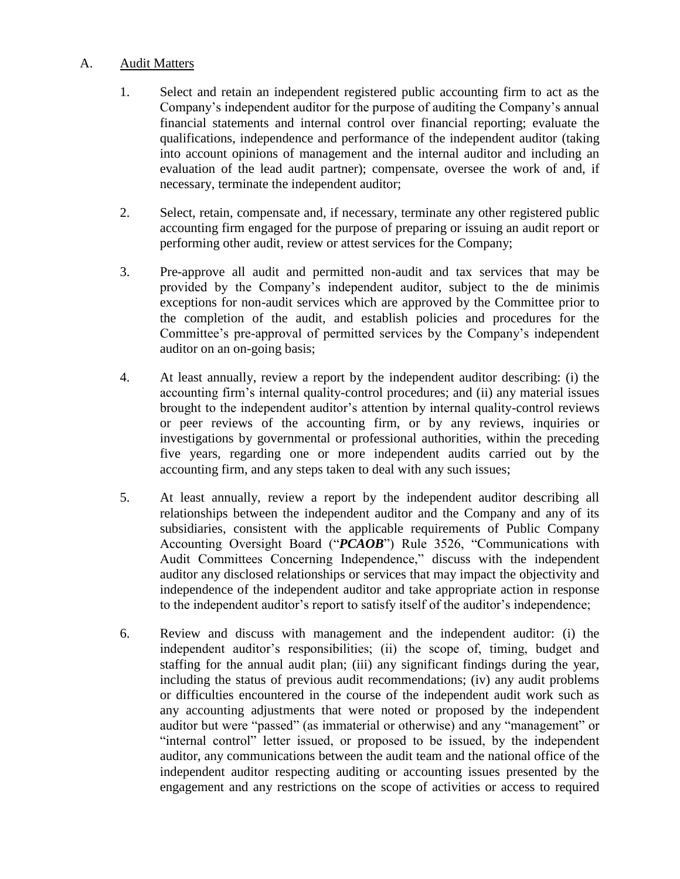### A. Audit Matters

- 1. Select and retain an independent registered public accounting firm to act as the Company's independent auditor for the purpose of auditing the Company's annual financial statements and internal control over financial reporting; evaluate the qualifications, independence and performance of the independent auditor (taking into account opinions of management and the internal auditor and including an evaluation of the lead audit partner); compensate, oversee the work of and, if necessary, terminate the independent auditor;
- 2. Select, retain, compensate and, if necessary, terminate any other registered public accounting firm engaged for the purpose of preparing or issuing an audit report or performing other audit, review or attest services for the Company;
- 3. Pre-approve all audit and permitted non-audit and tax services that may be provided by the Company's independent auditor, subject to the de minimis exceptions for non-audit services which are approved by the Committee prior to the completion of the audit, and establish policies and procedures for the Committee's pre-approval of permitted services by the Company's independent auditor on an on-going basis;
- 4. At least annually, review a report by the independent auditor describing: (i) the accounting firm's internal quality-control procedures; and (ii) any material issues brought to the independent auditor's attention by internal quality-control reviews or peer reviews of the accounting firm, or by any reviews, inquiries or investigations by governmental or professional authorities, within the preceding five years, regarding one or more independent audits carried out by the accounting firm, and any steps taken to deal with any such issues;
- 5. At least annually, review a report by the independent auditor describing all relationships between the independent auditor and the Company and any of its subsidiaries, consistent with the applicable requirements of Public Company Accounting Oversight Board ("*PCAOB*") Rule 3526, "Communications with Audit Committees Concerning Independence," discuss with the independent auditor any disclosed relationships or services that may impact the objectivity and independence of the independent auditor and take appropriate action in response to the independent auditor's report to satisfy itself of the auditor's independence;
- 6. Review and discuss with management and the independent auditor: (i) the independent auditor's responsibilities; (ii) the scope of, timing, budget and staffing for the annual audit plan; (iii) any significant findings during the year, including the status of previous audit recommendations; (iv) any audit problems or difficulties encountered in the course of the independent audit work such as any accounting adjustments that were noted or proposed by the independent auditor but were "passed" (as immaterial or otherwise) and any "management" or "internal control" letter issued, or proposed to be issued, by the independent auditor, any communications between the audit team and the national office of the independent auditor respecting auditing or accounting issues presented by the engagement and any restrictions on the scope of activities or access to required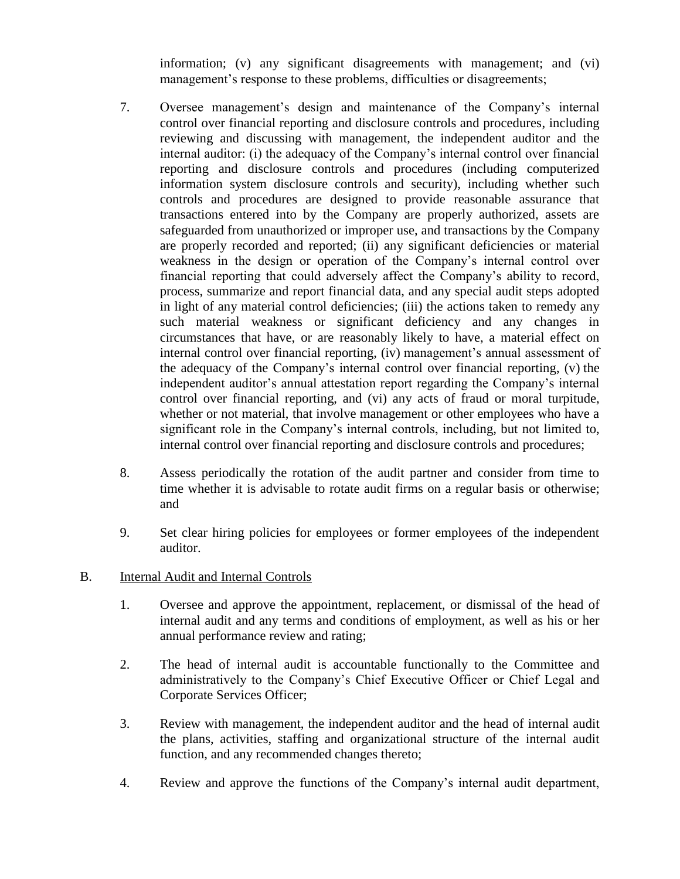information; (v) any significant disagreements with management; and (vi) management's response to these problems, difficulties or disagreements;

- 7. Oversee management's design and maintenance of the Company's internal control over financial reporting and disclosure controls and procedures, including reviewing and discussing with management, the independent auditor and the internal auditor: (i) the adequacy of the Company's internal control over financial reporting and disclosure controls and procedures (including computerized information system disclosure controls and security), including whether such controls and procedures are designed to provide reasonable assurance that transactions entered into by the Company are properly authorized, assets are safeguarded from unauthorized or improper use, and transactions by the Company are properly recorded and reported; (ii) any significant deficiencies or material weakness in the design or operation of the Company's internal control over financial reporting that could adversely affect the Company's ability to record, process, summarize and report financial data, and any special audit steps adopted in light of any material control deficiencies; (iii) the actions taken to remedy any such material weakness or significant deficiency and any changes in circumstances that have, or are reasonably likely to have, a material effect on internal control over financial reporting, (iv) management's annual assessment of the adequacy of the Company's internal control over financial reporting, (v) the independent auditor's annual attestation report regarding the Company's internal control over financial reporting, and (vi) any acts of fraud or moral turpitude, whether or not material, that involve management or other employees who have a significant role in the Company's internal controls, including, but not limited to, internal control over financial reporting and disclosure controls and procedures;
- 8. Assess periodically the rotation of the audit partner and consider from time to time whether it is advisable to rotate audit firms on a regular basis or otherwise; and
- 9. Set clear hiring policies for employees or former employees of the independent auditor.
- B. Internal Audit and Internal Controls
	- 1. Oversee and approve the appointment, replacement, or dismissal of the head of internal audit and any terms and conditions of employment, as well as his or her annual performance review and rating;
	- 2. The head of internal audit is accountable functionally to the Committee and administratively to the Company's Chief Executive Officer or Chief Legal and Corporate Services Officer;
	- 3. Review with management, the independent auditor and the head of internal audit the plans, activities, staffing and organizational structure of the internal audit function, and any recommended changes thereto;
	- 4. Review and approve the functions of the Company's internal audit department,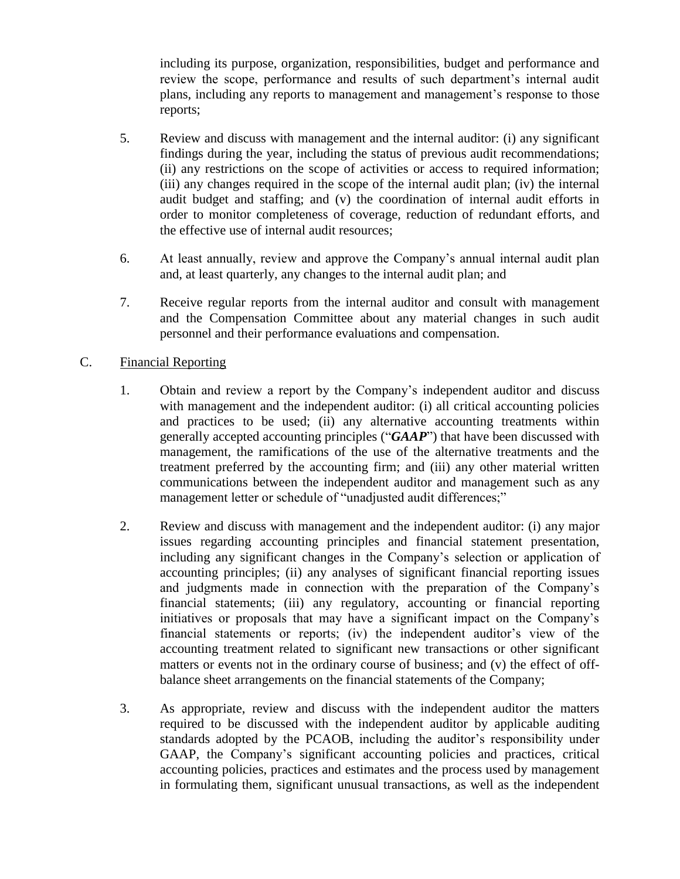including its purpose, organization, responsibilities, budget and performance and review the scope, performance and results of such department's internal audit plans, including any reports to management and management's response to those reports;

- 5. Review and discuss with management and the internal auditor: (i) any significant findings during the year, including the status of previous audit recommendations; (ii) any restrictions on the scope of activities or access to required information; (iii) any changes required in the scope of the internal audit plan; (iv) the internal audit budget and staffing; and (v) the coordination of internal audit efforts in order to monitor completeness of coverage, reduction of redundant efforts, and the effective use of internal audit resources;
- 6. At least annually, review and approve the Company's annual internal audit plan and, at least quarterly, any changes to the internal audit plan; and
- 7. Receive regular reports from the internal auditor and consult with management and the Compensation Committee about any material changes in such audit personnel and their performance evaluations and compensation.

### C. Financial Reporting

- 1. Obtain and review a report by the Company's independent auditor and discuss with management and the independent auditor: (i) all critical accounting policies and practices to be used; (ii) any alternative accounting treatments within generally accepted accounting principles ("*GAAP*") that have been discussed with management, the ramifications of the use of the alternative treatments and the treatment preferred by the accounting firm; and (iii) any other material written communications between the independent auditor and management such as any management letter or schedule of "unadjusted audit differences;"
- 2. Review and discuss with management and the independent auditor: (i) any major issues regarding accounting principles and financial statement presentation, including any significant changes in the Company's selection or application of accounting principles; (ii) any analyses of significant financial reporting issues and judgments made in connection with the preparation of the Company's financial statements; (iii) any regulatory, accounting or financial reporting initiatives or proposals that may have a significant impact on the Company's financial statements or reports; (iv) the independent auditor's view of the accounting treatment related to significant new transactions or other significant matters or events not in the ordinary course of business; and (v) the effect of offbalance sheet arrangements on the financial statements of the Company;
- 3. As appropriate, review and discuss with the independent auditor the matters required to be discussed with the independent auditor by applicable auditing standards adopted by the PCAOB, including the auditor's responsibility under GAAP, the Company's significant accounting policies and practices, critical accounting policies, practices and estimates and the process used by management in formulating them, significant unusual transactions, as well as the independent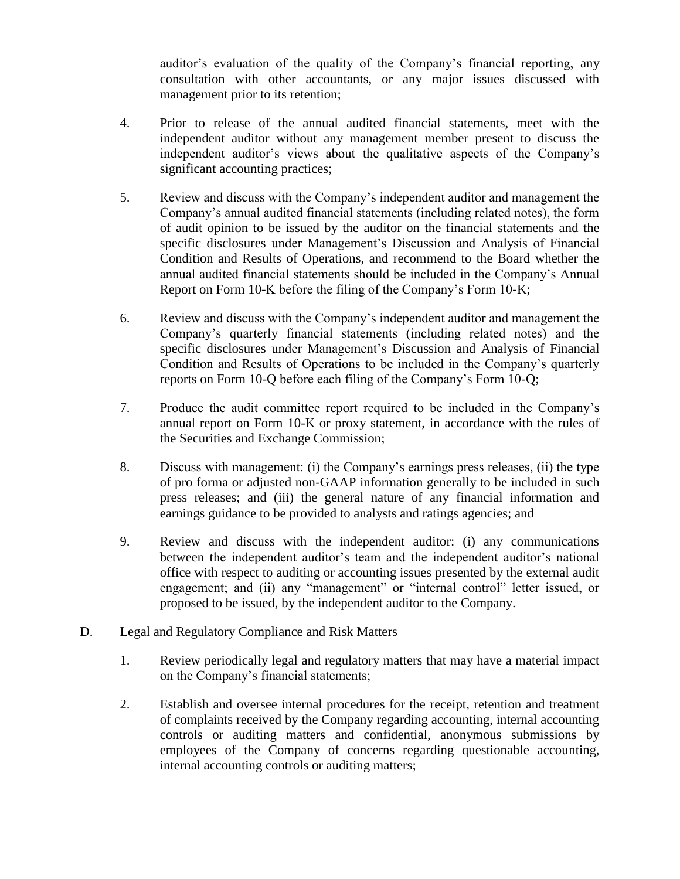auditor's evaluation of the quality of the Company's financial reporting, any consultation with other accountants, or any major issues discussed with management prior to its retention;

- 4. Prior to release of the annual audited financial statements, meet with the independent auditor without any management member present to discuss the independent auditor's views about the qualitative aspects of the Company's significant accounting practices;
- 5. Review and discuss with the Company's independent auditor and management the Company's annual audited financial statements (including related notes), the form of audit opinion to be issued by the auditor on the financial statements and the specific disclosures under Management's Discussion and Analysis of Financial Condition and Results of Operations, and recommend to the Board whether the annual audited financial statements should be included in the Company's Annual Report on Form 10-K before the filing of the Company's Form 10-K;
- 6. Review and discuss with the Company's independent auditor and management the Company's quarterly financial statements (including related notes) and the specific disclosures under Management's Discussion and Analysis of Financial Condition and Results of Operations to be included in the Company's quarterly reports on Form 10-Q before each filing of the Company's Form 10-Q;
- 7. Produce the audit committee report required to be included in the Company's annual report on Form 10-K or proxy statement, in accordance with the rules of the Securities and Exchange Commission;
- 8. Discuss with management: (i) the Company's earnings press releases, (ii) the type of pro forma or adjusted non-GAAP information generally to be included in such press releases; and (iii) the general nature of any financial information and earnings guidance to be provided to analysts and ratings agencies; and
- 9. Review and discuss with the independent auditor: (i) any communications between the independent auditor's team and the independent auditor's national office with respect to auditing or accounting issues presented by the external audit engagement; and (ii) any "management" or "internal control" letter issued, or proposed to be issued, by the independent auditor to the Company.

## D. Legal and Regulatory Compliance and Risk Matters

- 1. Review periodically legal and regulatory matters that may have a material impact on the Company's financial statements;
- 2. Establish and oversee internal procedures for the receipt, retention and treatment of complaints received by the Company regarding accounting, internal accounting controls or auditing matters and confidential, anonymous submissions by employees of the Company of concerns regarding questionable accounting, internal accounting controls or auditing matters;